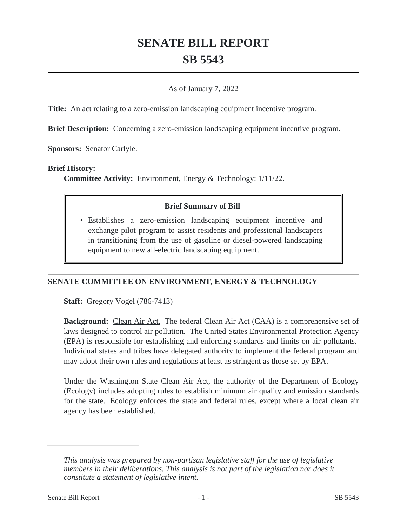# **SENATE BILL REPORT SB 5543**

#### As of January 7, 2022

**Title:** An act relating to a zero-emission landscaping equipment incentive program.

**Brief Description:** Concerning a zero-emission landscaping equipment incentive program.

**Sponsors:** Senator Carlyle.

### **Brief History:**

**Committee Activity:** Environment, Energy & Technology: 1/11/22.

## **Brief Summary of Bill**

Establishes a zero-emission landscaping equipment incentive and • exchange pilot program to assist residents and professional landscapers in transitioning from the use of gasoline or diesel-powered landscaping equipment to new all-electric landscaping equipment.

## **SENATE COMMITTEE ON ENVIRONMENT, ENERGY & TECHNOLOGY**

**Staff:** Gregory Vogel (786-7413)

**Background:** Clean Air Act. The federal Clean Air Act (CAA) is a comprehensive set of laws designed to control air pollution. The United States Environmental Protection Agency (EPA) is responsible for establishing and enforcing standards and limits on air pollutants. Individual states and tribes have delegated authority to implement the federal program and may adopt their own rules and regulations at least as stringent as those set by EPA.

Under the Washington State Clean Air Act, the authority of the Department of Ecology (Ecology) includes adopting rules to establish minimum air quality and emission standards for the state. Ecology enforces the state and federal rules, except where a local clean air agency has been established.

*This analysis was prepared by non-partisan legislative staff for the use of legislative members in their deliberations. This analysis is not part of the legislation nor does it constitute a statement of legislative intent.*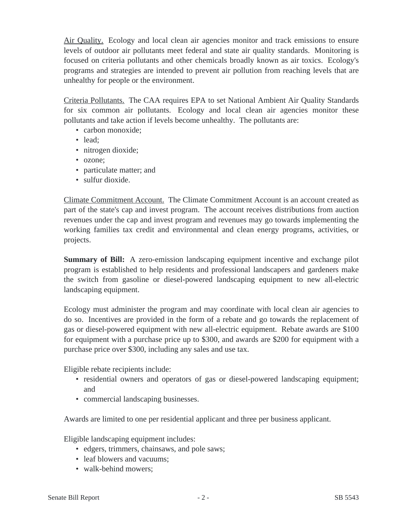Air Quality. Ecology and local clean air agencies monitor and track emissions to ensure levels of outdoor air pollutants meet federal and state air quality standards. Monitoring is focused on criteria pollutants and other chemicals broadly known as air toxics. Ecology's programs and strategies are intended to prevent air pollution from reaching levels that are unhealthy for people or the environment.

Criteria Pollutants. The CAA requires EPA to set National Ambient Air Quality Standards for six common air pollutants. Ecology and local clean air agencies monitor these pollutants and take action if levels become unhealthy. The pollutants are:

- carbon monoxide:
- lead:
- nitrogen dioxide;
- ozone;
- particulate matter; and
- sulfur dioxide.

Climate Commitment Account. The Climate Commitment Account is an account created as part of the state's cap and invest program. The account receives distributions from auction revenues under the cap and invest program and revenues may go towards implementing the working families tax credit and environmental and clean energy programs, activities, or projects.

**Summary of Bill:** A zero-emission landscaping equipment incentive and exchange pilot program is established to help residents and professional landscapers and gardeners make the switch from gasoline or diesel-powered landscaping equipment to new all-electric landscaping equipment.

Ecology must administer the program and may coordinate with local clean air agencies to do so. Incentives are provided in the form of a rebate and go towards the replacement of gas or diesel-powered equipment with new all-electric equipment. Rebate awards are \$100 for equipment with a purchase price up to \$300, and awards are \$200 for equipment with a purchase price over \$300, including any sales and use tax.

Eligible rebate recipients include:

- residential owners and operators of gas or diesel-powered landscaping equipment; and
- commercial landscaping businesses.

Awards are limited to one per residential applicant and three per business applicant.

Eligible landscaping equipment includes:

- edgers, trimmers, chainsaws, and pole saws;
- leaf blowers and vacuums:
- walk-behind mowers: